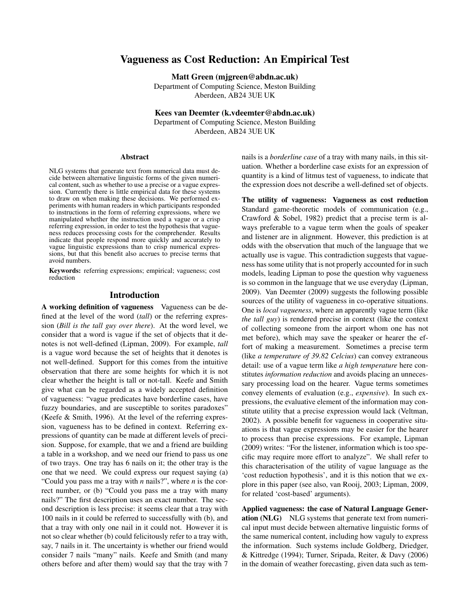# Vagueness as Cost Reduction: An Empirical Test

Matt Green (mjgreen@abdn.ac.uk)

Department of Computing Science, Meston Building Aberdeen, AB24 3UE UK

Kees van Deemter (k.vdeemter@abdn.ac.uk)

Department of Computing Science, Meston Building Aberdeen, AB24 3UE UK

#### Abstract

NLG systems that generate text from numerical data must decide between alternative linguistic forms of the given numerical content, such as whether to use a precise or a vague expression. Currently there is little empirical data for these systems to draw on when making these decisions. We performed experiments with human readers in which participants responded to instructions in the form of referring expressions, where we manipulated whether the instruction used a vague or a crisp referring expression, in order to test the hypothesis that vagueness reduces processing costs for the comprehender. Results indicate that people respond more quickly and accurately to vague linguistic expressions than to crisp numerical expressions, but that this benefit also accrues to precise terms that avoid numbers.

Keywords: referring expressions; empirical; vagueness; cost reduction

### Introduction

A working definition of vagueness Vagueness can be defined at the level of the word (*tall*) or the referring expression (*Bill is the tall guy over there*). At the word level, we consider that a word is vague if the set of objects that it denotes is not well-defined (Lipman, 2009). For example, *tall* is a vague word because the set of heights that it denotes is not well-defined. Support for this comes from the intuitive observation that there are some heights for which it is not clear whether the height is tall or not-tall. Keefe and Smith give what can be regarded as a widely accepted definition of vagueness: "vague predicates have borderline cases, have fuzzy boundaries, and are susceptible to sorites paradoxes" (Keefe & Smith, 1996). At the level of the referring expression, vagueness has to be defined in context. Referring expressions of quantity can be made at different levels of precision. Suppose, for example, that we and a friend are building a table in a workshop, and we need our friend to pass us one of two trays. One tray has 6 nails on it; the other tray is the one that we need. We could express our request saying (a) "Could you pass me a tray with *n* nails?", where *n* is the correct number, or (b) "Could you pass me a tray with many nails?" The first description uses an exact number. The second description is less precise: it seems clear that a tray with 100 nails in it could be referred to successfully with (b), and that a tray with only one nail in it could not. However it is not so clear whether (b) could felicitously refer to a tray with, say, 7 nails in it. The uncertainty is whether our friend would consider 7 nails "many" nails. Keefe and Smith (and many others before and after them) would say that the tray with 7 nails is a *borderline case* of a tray with many nails, in this situation. Whether a borderline case exists for an expression of quantity is a kind of litmus test of vagueness, to indicate that the expression does not describe a well-defined set of objects.

The utility of vagueness: Vagueness as cost reduction Standard game-theoretic models of communication (e.g., Crawford & Sobel, 1982) predict that a precise term is always preferable to a vague term when the goals of speaker and listener are in alignment. However, this prediction is at odds with the observation that much of the language that we actually use is vague. This contradiction suggests that vagueness has some utility that is not properly accounted for in such models, leading Lipman to pose the question why vagueness is so common in the language that we use everyday (Lipman, 2009). Van Deemter (2009) suggests the following possible sources of the utility of vagueness in co-operative situations. One is *local vagueness*, where an apparently vague term (like *the tall guy*) is rendered precise in context (like the context of collecting someone from the airport whom one has not met before), which may save the speaker or hearer the effort of making a measurement. Sometimes a precise term (like *a temperature of 39.82 Celcius*) can convey extraneous detail: use of a vague term like *a high temperature* here constitutes *information reduction* and avoids placing an unnecessary processing load on the hearer. Vague terms sometimes convey elements of evaluation (e.g., *expensive*). In such expressions, the evaluative element of the information may constitute utility that a precise expression would lack (Veltman, 2002). A possible benefit for vagueness in cooperative situations is that vague expressions may be easier for the hearer to process than precise expressions. For example, Lipman (2009) writes: "For the listener, information which is too specific may require more effort to analyze". We shall refer to this characterisation of the utility of vague language as the 'cost reduction hypothesis', and it is this notion that we explore in this paper (see also, van Rooij, 2003; Lipman, 2009, for related 'cost-based' arguments).

Applied vagueness: the case of Natural Language Generation (NLG) NLG systems that generate text from numerical input must decide between alternative linguistic forms of the same numerical content, including how vaguly to express the information. Such systems include Goldberg, Driedger, & Kittredge (1994); Turner, Sripada, Reiter, & Davy (2006) in the domain of weather forecasting, given data such as tem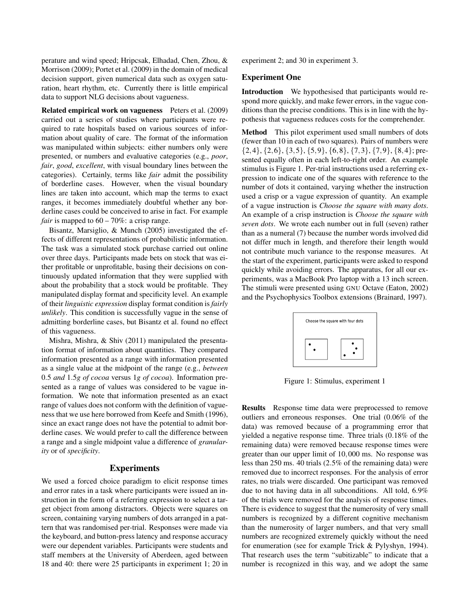perature and wind speed; Hripcsak, Elhadad, Chen, Zhou, & Morrison (2009); Portet et al. (2009) in the domain of medical decision support, given numerical data such as oxygen saturation, heart rhythm, etc. Currently there is little empirical data to support NLG decisions about vagueness.

Related empirical work on vagueness Peters et al. (2009) carried out a series of studies where participants were required to rate hospitals based on various sources of information about quality of care. The format of the information was manipulated within subjects: either numbers only were presented, or numbers and evaluative categories (e.g., *poor*, *fair*, *good*, *excellent*, with visual boundary lines between the categories). Certainly, terms like *fair* admit the possibility of borderline cases. However, when the visual boundary lines are taken into account, which map the terms to exact ranges, it becomes immediately doubtful whether any borderline cases could be conceived to arise in fact. For example *fair* is mapped to  $60 - 70\%$ : a crisp range.

Bisantz, Marsiglio, & Munch (2005) investigated the effects of different representations of probabilistic information. The task was a simulated stock purchase carried out online over three days. Participants made bets on stock that was either profitable or unprofitable, basing their decisions on continuously updated information that they were supplied with about the probability that a stock would be profitable. They manipulated display format and specificity level. An example of their *linguistic expression* display format condition is *fairly unlikely*. This condition is successfully vague in the sense of admitting borderline cases, but Bisantz et al. found no effect of this vagueness.

Mishra, Mishra, & Shiv (2011) manipulated the presentation format of information about quantities. They compared information presented as a range with information presented as a single value at the midpoint of the range (e.g., *between* 0.5 *and* 1.5*g of cocoa* versus 1*g of cocoa*). Information presented as a range of values was considered to be vague information. We note that information presented as an exact range of values does not conform with the definition of vagueness that we use here borrowed from Keefe and Smith (1996), since an exact range does not have the potential to admit borderline cases. We would prefer to call the difference between a range and a single midpoint value a difference of *granularity* or of *specificity*.

#### **Experiments**

We used a forced choice paradigm to elicit response times and error rates in a task where participants were issued an instruction in the form of a referring expression to select a target object from among distractors. Objects were squares on screen, containing varying numbers of dots arranged in a pattern that was randomised per-trial. Responses were made via the keyboard, and button-press latency and response accuracy were our dependent variables. Participants were students and staff members at the University of Aberdeen, aged between 18 and 40: there were 25 participants in experiment 1; 20 in experiment 2; and 30 in experiment 3.

#### Experiment One

Introduction We hypothesised that participants would respond more quickly, and make fewer errors, in the vague conditions than the precise conditions. This is in line with the hypothesis that vagueness reduces costs for the comprehender.

Method This pilot experiment used small numbers of dots (fewer than 10 in each of two squares). Pairs of numbers were  $\{2,4\}, \{2,6\}, \{3,5\}, \{5,9\}, \{6,8\}, \{7,3\}, \{7,9\}, \{8,4\};$  presented equally often in each left-to-right order. An example stimulus is Figure 1. Per-trial instructions used a referring expression to indicate one of the squares with reference to the number of dots it contained, varying whether the instruction used a crisp or a vague expression of quantity. An example of a vague instruction is *Choose the square with many dots*. An example of a crisp instruction is *Choose the square with seven dots*. We wrote each number out in full (seven) rather than as a numeral (7) because the number words involved did not differ much in length, and therefore their length would not contribute much variance to the response measures. At the start of the experiment, participants were asked to respond quickly while avoiding errors. The apparatus, for all our experiments, was a MacBook Pro laptop with a 13 inch screen. The stimuli were presented using GNU Octave (Eaton, 2002) and the Psychophysics Toolbox extensions (Brainard, 1997).



Figure 1: Stimulus, experiment 1

Results Response time data were preprocessed to remove outliers and erroneous responses. One trial (0.06% of the data) was removed because of a programming error that yielded a negative response time. Three trials (0.18% of the remaining data) were removed because response times were greater than our upper limit of 10,000 ms. No response was less than 250 ms. 40 trials (2.5% of the remaining data) were removed due to incorrect responses. For the analysis of error rates, no trials were discarded. One participant was removed due to not having data in all subconditions. All told, 6.9% of the trials were removed for the analysis of response times. There is evidence to suggest that the numerosity of very small numbers is recognized by a different cognitive mechanism than the numerosity of larger numbers, and that very small numbers are recognized extremely quickly without the need for enumeration (see for example Trick & Pylyshyn, 1994). That research uses the term "subitizable" to indicate that a number is recognized in this way, and we adopt the same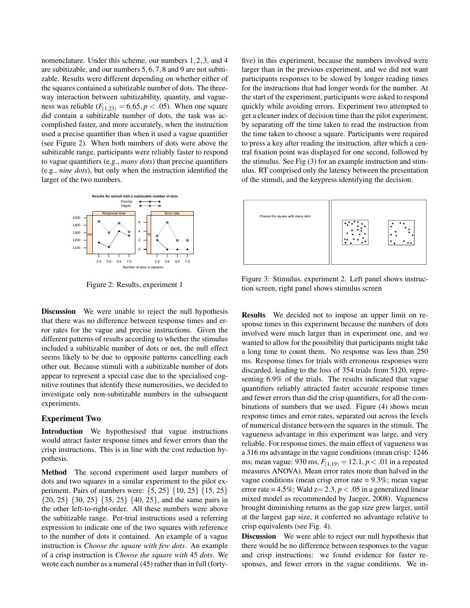nomenclature. Under this scheme, our numbers 1,2,3, and 4 are subitizable, and our numbers 5,6,7,8 and 9 are not subitizable. Results were different depending on whether either of the squares contained a subitizable number of dots. The threeway interaction between subitizability, quantity, and vagueness was reliable  $(F_{(1,23)} = 6.65, p < .05)$ . When one square did contain a subitizable number of dots, the task was accomplished faster, and more accurately, when the instruction used a precise quantifier than when it used a vague quantifier (see Figure 2). When both numbers of dots were above the subitizable range, participants were reliably faster to respond to vague quantifiers (e.g., *many dots*) than precise quantifiers (e.g., *nine dots*), but only when the instruction identified the larger of the two numbers.



Figure 2: Results, experiment 1

Discussion We were unable to reject the null hypothesis that there was no difference between response times and error rates for the vague and precise instructions. Given the different patterns of results according to whether the stimulus included a subitizable number of dots or not, the null effect seems likely to be due to opposite patterns cancelling each other out. Because stimuli with a subitizable number of dots appear to represent a special case due to the specialised cognitive routines that identify these numerosities, we decided to investigate only non-subitizable numbers in the subsequent experiments.

#### Experiment Two

Introduction We hypothesised that vague instructions would attract faster response times and fewer errors than the crisp instructions. This is in line with the cost reduction hypothesis.

Method The second experiment used larger numbers of dots and two squares in a similar experiment to the pilot experiment. Pairs of numbers were: {5, 25} {10, 25} {15, 25} {20, 25} {30, 25} {35, 25} {40, 25}, and the same pairs in the other left-to-right-order. All these numbers were above the subitizable range. Per-trial instructions used a referring expression to indicate one of the two squares with reference to the number of dots it contained. An example of a vague instruction is *Choose the square with few dots*. An example of a crisp instruction is *Choose the square with* 45 *dots*. We wrote each number as a numeral (45) rather than in full (fortyfive) in this experiment, because the numbers involved were larger than in the previous experiment, and we did not want participants responses to be slowed by longer reading times for the instructions that had longer words for the number. At the start of the experiment, participants were asked to respond quickly while avoiding errors. Experiment two attempted to get a cleaner index of decision time than the pilot experiment, by separating off the time taken to read the instruction from the time taken to choose a square. Participants were required to press a key after reading the instruction, after which a central fixation point was displayed for one second, followed by the stimulus. See Fig (3) for an example instruction and stimulus. RT comprised only the latency between the presentation of the stimuli, and the keypress identifying the decision.



Figure 3: Stimulus, experiment 2. Left panel shows instruction screen, right panel shows stimulus screen

Results We decided not to impose an upper limit on response times in this experiment because the numbers of dots involved were much larger than in experiment one, and we wanted to allow for the possibility that participants might take a long time to count them. No response was less than 250 ms. Response times for trials with erroneous responses were discarded, leading to the loss of 354 trials from 5120, representing 6.9% of the trials. The results indicated that vague quantifiers reliably attracted faster accurate response times and fewer errors than did the crisp quantifiers, for all the combinations of numbers that we used. Figure (4) shows mean response times and error rates, separated out across the levels of numerical distance between the squares in the stimuli. The vagueness advantage in this experiment was large, and very reliable. For response times, the main effect of vagueness was a 316 ms advantage in the vague conditions (mean crisp: 1246 ms; mean vague: 930 ms,  $F_{(1,19)} = 12.1, p < .01$  in a repeated measures ANOVA). Mean error rates more than halved in the vague conditions (mean crisp error rate = 9.3%; mean vague error rate =  $4.5\%$ ; Wald  $z = 2.3$ ,  $p < .05$  in a generalized linear mixed model as recommended by Jaeger, 2008). Vagueness brought diminishing returns as the gap size grew larger, until at the largest gap size, it conferred no advantage relative to crisp equivalents (see Fig. 4).

Discussion We were able to reject our null hypothesis that there would be no difference between responses to the vague and crisp instructions: we found evidence for faster responses, and fewer errors in the vague conditions. We in-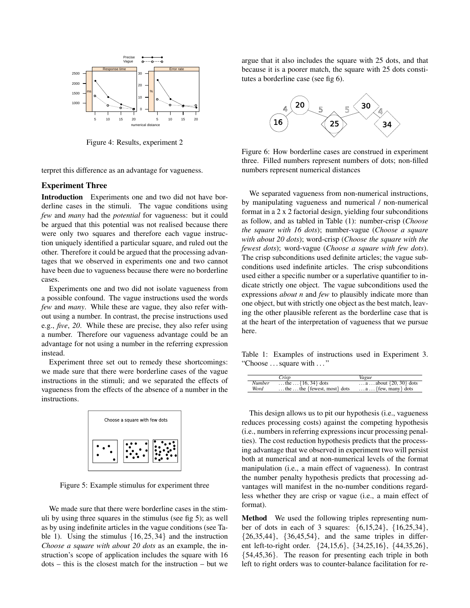

Figure 4: Results, experiment 2

terpret this difference as an advantage for vagueness.

## Experiment Three

Introduction Experiments one and two did not have borderline cases in the stimuli. The vague conditions using *few* and *many* had the *potential* for vagueness: but it could be argued that this potential was not realised because there were only two squares and therefore each vague instruction uniquely identified a particular square, and ruled out the other. Therefore it could be argued that the processing advantages that we observed in experiments one and two cannot have been due to vagueness because there were no borderline cases.

Experiments one and two did not isolate vagueness from a possible confound. The vague instructions used the words *few* and *many*. While these are vague, they also refer without using a number. In contrast, the precise instructions used e.g., *five*, *20*. While these are precise, they also refer using a number. Therefore our vagueness advantage could be an advantage for not using a number in the referring expression instead.

Experiment three set out to remedy these shortcomings: we made sure that there were borderline cases of the vague instructions in the stimuli; and we separated the effects of vagueness from the effects of the absence of a number in the instructions.



Figure 5: Example stimulus for experiment three

We made sure that there were borderline cases in the stimuli by using three squares in the stimulus (see fig 5); as well as by using indefinite articles in the vague conditions (see Table 1). Using the stimulus  $\{16, 25, 34\}$  and the instruction *Choose a square with about 20 dots* as an example, the instruction's scope of application includes the square with 16 dots – this is the closest match for the instruction – but we argue that it also includes the square with 25 dots, and that because it is a poorer match, the square with 25 dots constitutes a borderline case (see fig 6).



Figure 6: How borderline cases are construed in experiment three. Filled numbers represent numbers of dots; non-filled numbers represent numerical distances

We separated vagueness from non-numerical instructions, by manipulating vagueness and numerical / non-numerical format in a 2 x 2 factorial design, yielding four subconditions as follow, and as tabled in Table (1): number-crisp (*Choose the square with 16 dots*); number-vague (*Choose a square with about 20 dots*); word-crisp (*Choose the square with the fewest dots*); word-vague (*Choose a square with few dots*). The crisp subconditions used definite articles; the vague subconditions used indefinite articles. The crisp subconditions used either a specific number or a superlative quantifier to indicate strictly one object. The vague subconditions used the expressions *about n* and *few* to plausibly indicate more than one object, but with strictly one object as the best match, leaving the other plausible referent as the borderline case that is at the heart of the interpretation of vagueness that we pursue here.

Table 1: Examples of instructions used in Experiment 3. "Choose . . . square with . . . "

|               | Crisp                                       | Vaeue                                     |
|---------------|---------------------------------------------|-------------------------------------------|
| <b>Number</b> | the $\{16, 34\}$ dots                       | $\ldots a \ldots$ about $\{20, 30\}$ dots |
| Word          | $\dots$ the $\dots$ the {fewest, most} dots | $\dots a \dots$ { few, many } dots        |

This design allows us to pit our hypothesis (i.e., vagueness reduces processing costs) against the competing hypothesis (i.e., numbers in referring expressions incur processing penalties). The cost reduction hypothesis predicts that the processing advantage that we observed in experiment two will persist both at numerical and at non-numerical levels of the format manipulation (i.e., a main effect of vagueness). In contrast the number penalty hypothesis predicts that processing advantages will manifest in the no-number conditions regardless whether they are crisp or vague (i.e., a main effect of format).

Method We used the following triples representing number of dots in each of 3 squares: {6,15,24}, {16,25,34},  $\{26,35,44\}$ ,  $\{36,45,54\}$ , and the same triples in different left-to-right order. {24,15,6}, {34,25,16}, {44,35,26}, {54,45,36}. The reason for presenting each triple in both left to right orders was to counter-balance facilitation for re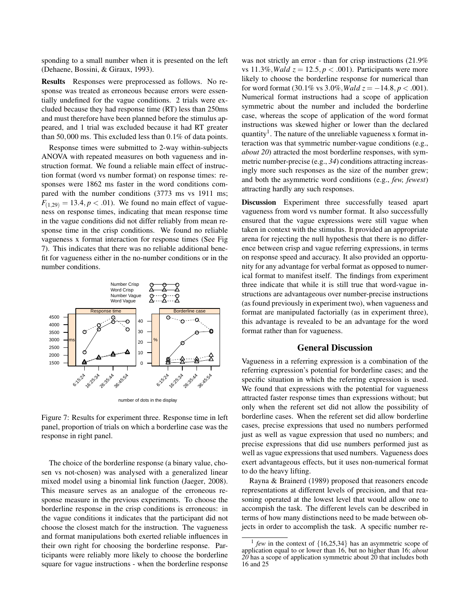sponding to a small number when it is presented on the left (Dehaene, Bossini, & Giraux, 1993).

Results Responses were preprocessed as follows. No response was treated as erroneous because errors were essentially undefined for the vague conditions. 2 trials were excluded because they had response time (RT) less than 250ms and must therefore have been planned before the stimulus appeared, and 1 trial was excluded because it had RT greater than 50,000 ms. This excluded less than 0.1% of data points.

Response times were submitted to 2-way within-subjects ANOVA with repeated measures on both vagueness and instruction format. We found a reliable main effect of instruction format (word vs number format) on response times: responses were 1862 ms faster in the word conditions compared with the number conditions (3773 ms vs 1911 ms;  $F_{(1,29)} = 13.4, p < .01$ ). We found no main effect of vagueness on response times, indicating that mean response time in the vague conditions did not differ reliably from mean response time in the crisp conditions. We found no reliable vagueness x format interaction for response times (See Fig 7). This indicates that there was no reliable additional benefit for vagueness either in the no-number conditions or in the number conditions.



Figure 7: Results for experiment three. Response time in left

panel, proportion of trials on which a borderline case was the response in right panel.

The choice of the borderline response (a binary value, chosen vs not-chosen) was analysed with a generalized linear mixed model using a binomial link function (Jaeger, 2008). This measure serves as an analogue of the erroneous response measure in the previous experiments. To choose the borderline response in the crisp conditions is erroneous: in the vague conditions it indicates that the participant did not choose the closest match for the instruction. The vagueness and format manipulations both exerted reliable influences in their own right for choosing the borderline response. Participants were reliably more likely to choose the borderline square for vague instructions - when the borderline response was not strictly an error - than for crisp instructions  $(21.9\%$ vs  $11.3\%$ *, Wald z* =  $12.5$ *, p* < .001). Participants were more likely to choose the borderline response for numerical than for word format  $(30.1\% \text{ vs } 3.0\%, Wald \ z = -14.8, p < .001).$ Numerical format instructions had a scope of application symmetric about the number and included the borderline case, whereas the scope of application of the word format instructions was skewed higher or lower than the declared quantity<sup>1</sup>. The nature of the unreliable vagueness x format interaction was that symmetric number-vague conditions (e.g., *about 20*) attracted the most borderline responses, with symmetric number-precise (e.g., *34*) conditions attracting increasingly more such responses as the size of the number grew; and both the asymmetric word conditions (e.g., *few, fewest*) attracting hardly any such responses.

Discussion Experiment three successfully teased apart vagueness from word vs number format. It also successfully ensured that the vague expressions were still vague when taken in context with the stimulus. It provided an appropriate arena for rejecting the null hypothesis that there is no difference between crisp and vague referring expressions, in terms on response speed and accuracy. It also provided an opportunity for any advantage for verbal format as opposed to numerical format to manifest itself. The findings from experiment three indicate that while it is still true that word-vague instructions are advantageous over number-precise instructions (as found previously in experiment two), when vagueness and format are manipulated factorially (as in experiment three), this advantage is revealed to be an advantage for the word format rather than for vagueness.

### General Discussion

Vagueness in a referring expression is a combination of the referring expression's potential for borderline cases; and the specific situation in which the referring expression is used. We found that expressions with the potential for vagueness attracted faster response times than expressions without; but only when the referent set did not allow the possibility of borderline cases. When the referent set did allow borderline cases, precise expressions that used no numbers performed just as well as vague expression that used no numbers; and precise expressions that did use numbers performed just as well as vague expressions that used numbers. Vagueness does exert advantageous effects, but it uses non-numerical format to do the heavy lifting.

Rayna & Brainerd (1989) proposed that reasoners encode representations at different levels of precision, and that reasoning operated at the lowest level that would allow one to accompish the task. The different levels can be described in terms of how many distinctions need to be made between objects in order to accomplish the task. A specific number re-

<sup>1</sup> *few* in the context of {16,25,34} has an asymmetric scope of application equal to or lower than 16, but no higher than 16; *about 20* has a scope of application symmetric about 20 that includes both 16 and 25